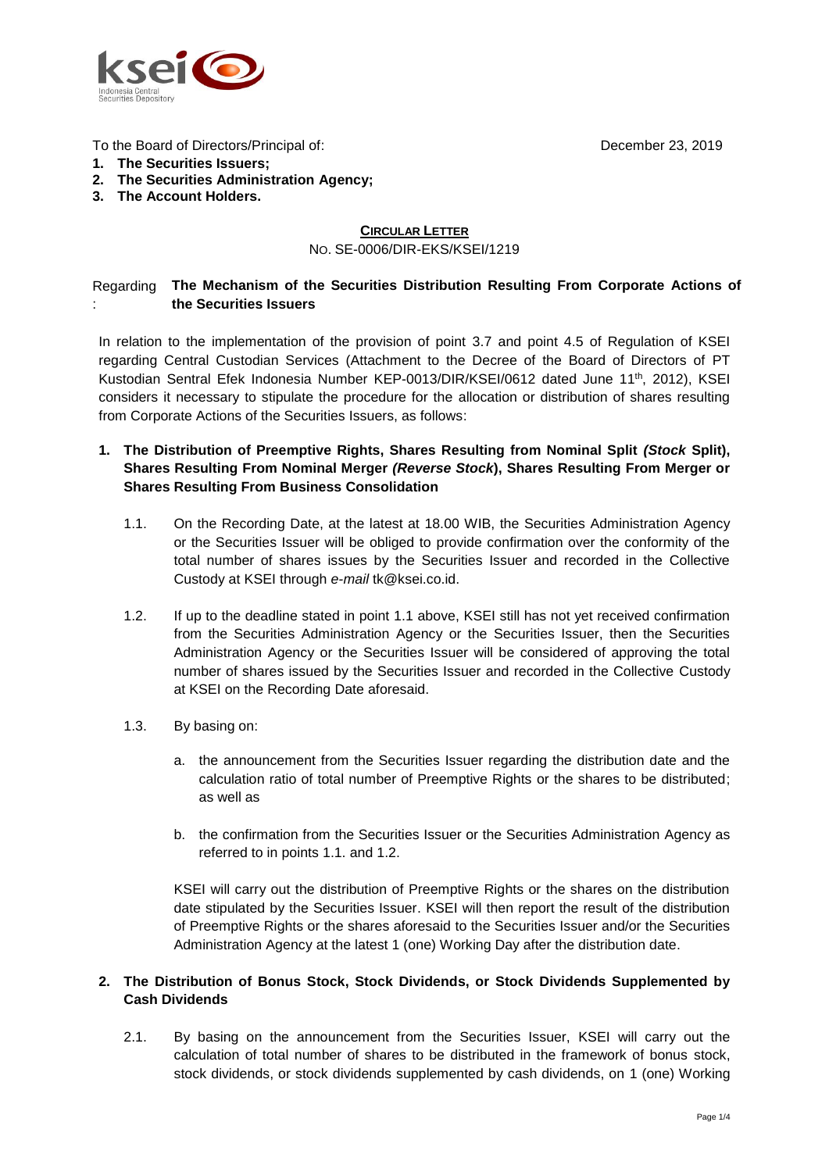

To the Board of Directors/Principal of:

**1. The Securities Issuers;**

- **2. The Securities Administration Agency;**
- **3. The Account Holders.**

## **CIRCULAR LETTER** NO. SE-0006/DIR-EKS/KSEI/1219

#### Regarding **The Mechanism of the Securities Distribution Resulting From Corporate Actions of**  : **the Securities Issuers**

In relation to the implementation of the provision of point 3.7 and point 4.5 of Regulation of KSEI regarding Central Custodian Services (Attachment to the Decree of the Board of Directors of PT Kustodian Sentral Efek Indonesia Number KEP-0013/DIR/KSEI/0612 dated June 11<sup>th</sup>, 2012), KSEI considers it necessary to stipulate the procedure for the allocation or distribution of shares resulting from Corporate Actions of the Securities Issuers, as follows:

- **1. The Distribution of Preemptive Rights, Shares Resulting from Nominal Split** *(Stock* **Split), Shares Resulting From Nominal Merger** *(Reverse Stock***), Shares Resulting From Merger or Shares Resulting From Business Consolidation**
	- 1.1. On the Recording Date, at the latest at 18.00 WIB, the Securities Administration Agency or the Securities Issuer will be obliged to provide confirmation over the conformity of the total number of shares issues by the Securities Issuer and recorded in the Collective Custody at KSEI through *e-mail* [tk@ksei.co.id.](mailto:tk@ksei.co.id)
	- 1.2. If up to the deadline stated in point 1.1 above, KSEI still has not yet received confirmation from the Securities Administration Agency or the Securities Issuer, then the Securities Administration Agency or the Securities Issuer will be considered of approving the total number of shares issued by the Securities Issuer and recorded in the Collective Custody at KSEI on the Recording Date aforesaid.
	- 1.3. By basing on:
		- a. the announcement from the Securities Issuer regarding the distribution date and the calculation ratio of total number of Preemptive Rights or the shares to be distributed; as well as
		- b. the confirmation from the Securities Issuer or the Securities Administration Agency as referred to in points 1.1. and 1.2.

KSEI will carry out the distribution of Preemptive Rights or the shares on the distribution date stipulated by the Securities Issuer. KSEI will then report the result of the distribution of Preemptive Rights or the shares aforesaid to the Securities Issuer and/or the Securities Administration Agency at the latest 1 (one) Working Day after the distribution date.

# **2. The Distribution of Bonus Stock, Stock Dividends, or Stock Dividends Supplemented by Cash Dividends**

2.1. By basing on the announcement from the Securities Issuer, KSEI will carry out the calculation of total number of shares to be distributed in the framework of bonus stock, stock dividends, or stock dividends supplemented by cash dividends, on 1 (one) Working

December 23, 2019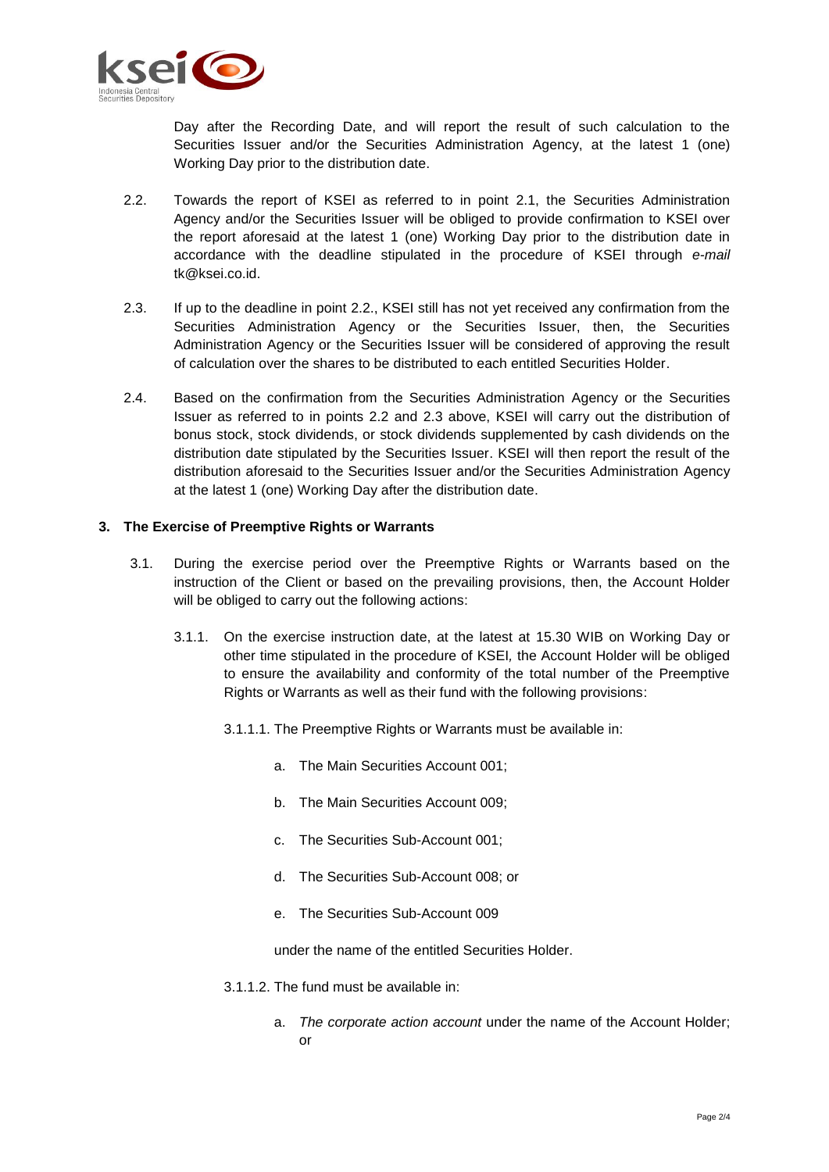

Day after the Recording Date, and will report the result of such calculation to the Securities Issuer and/or the Securities Administration Agency, at the latest 1 (one) Working Day prior to the distribution date.

- 2.2. Towards the report of KSEI as referred to in point 2.1, the Securities Administration Agency and/or the Securities Issuer will be obliged to provide confirmation to KSEI over the report aforesaid at the latest 1 (one) Working Day prior to the distribution date in accordance with the deadline stipulated in the procedure of KSEI through *e-mail* tk@ksei.co.id.
- 2.3. If up to the deadline in point 2.2., KSEI still has not yet received any confirmation from the Securities Administration Agency or the Securities Issuer, then, the Securities Administration Agency or the Securities Issuer will be considered of approving the result of calculation over the shares to be distributed to each entitled Securities Holder.
- 2.4. Based on the confirmation from the Securities Administration Agency or the Securities Issuer as referred to in points 2.2 and 2.3 above, KSEI will carry out the distribution of bonus stock, stock dividends, or stock dividends supplemented by cash dividends on the distribution date stipulated by the Securities Issuer. KSEI will then report the result of the distribution aforesaid to the Securities Issuer and/or the Securities Administration Agency at the latest 1 (one) Working Day after the distribution date.

### **3. The Exercise of Preemptive Rights or Warrants**

- 3.1. During the exercise period over the Preemptive Rights or Warrants based on the instruction of the Client or based on the prevailing provisions, then, the Account Holder will be obliged to carry out the following actions:
	- 3.1.1. On the exercise instruction date, at the latest at 15.30 WIB on Working Day or other time stipulated in the procedure of KSEI*,* the Account Holder will be obliged to ensure the availability and conformity of the total number of the Preemptive Rights or Warrants as well as their fund with the following provisions:
		- 3.1.1.1. The Preemptive Rights or Warrants must be available in:
			- a. The Main Securities Account 001;
			- b. The Main Securities Account 009;
			- c. The Securities Sub-Account 001;
			- d. The Securities Sub-Account 008; or
			- e. The Securities Sub-Account 009

under the name of the entitled Securities Holder.

- 3.1.1.2. The fund must be available in:
	- a. *The corporate action account* under the name of the Account Holder; or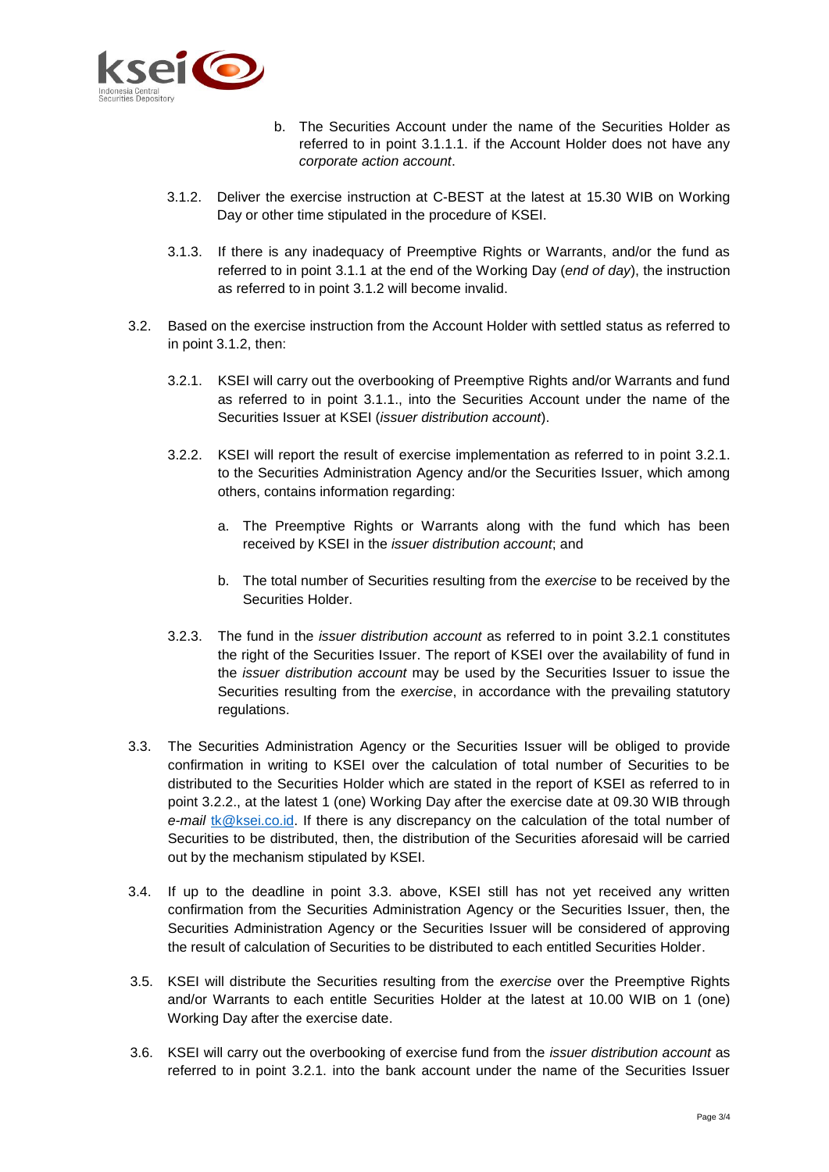

- b. The Securities Account under the name of the Securities Holder as referred to in point 3.1.1.1. if the Account Holder does not have any *corporate action account*.
- 3.1.2. Deliver the exercise instruction at C-BEST at the latest at 15.30 WIB on Working Day or other time stipulated in the procedure of KSEI.
- 3.1.3. If there is any inadequacy of Preemptive Rights or Warrants, and/or the fund as referred to in point 3.1.1 at the end of the Working Day (*end of day*), the instruction as referred to in point 3.1.2 will become invalid.
- 3.2. Based on the exercise instruction from the Account Holder with settled status as referred to in point 3.1.2, then:
	- 3.2.1. KSEI will carry out the overbooking of Preemptive Rights and/or Warrants and fund as referred to in point 3.1.1., into the Securities Account under the name of the Securities Issuer at KSEI (*issuer distribution account*).
	- 3.2.2. KSEI will report the result of exercise implementation as referred to in point 3.2.1. to the Securities Administration Agency and/or the Securities Issuer, which among others, contains information regarding:
		- a. The Preemptive Rights or Warrants along with the fund which has been received by KSEI in the *issuer distribution account*; and
		- b. The total number of Securities resulting from the *exercise* to be received by the Securities Holder.
	- 3.2.3. The fund in the *issuer distribution account* as referred to in point 3.2.1 constitutes the right of the Securities Issuer. The report of KSEI over the availability of fund in the *issuer distribution account* may be used by the Securities Issuer to issue the Securities resulting from the *exercise*, in accordance with the prevailing statutory regulations.
- 3.3. The Securities Administration Agency or the Securities Issuer will be obliged to provide confirmation in writing to KSEI over the calculation of total number of Securities to be distributed to the Securities Holder which are stated in the report of KSEI as referred to in point 3.2.2., at the latest 1 (one) Working Day after the exercise date at 09.30 WIB through *e-mail* [tk@ksei.co.id.](mailto:tk@ksei.co.id) If there is any discrepancy on the calculation of the total number of Securities to be distributed, then, the distribution of the Securities aforesaid will be carried out by the mechanism stipulated by KSEI.
- 3.4. If up to the deadline in point 3.3. above, KSEI still has not yet received any written confirmation from the Securities Administration Agency or the Securities Issuer, then, the Securities Administration Agency or the Securities Issuer will be considered of approving the result of calculation of Securities to be distributed to each entitled Securities Holder.
- 3.5. KSEI will distribute the Securities resulting from the *exercise* over the Preemptive Rights and/or Warrants to each entitle Securities Holder at the latest at 10.00 WIB on 1 (one) Working Day after the exercise date.
- 3.6. KSEI will carry out the overbooking of exercise fund from the *issuer distribution account* as referred to in point 3.2.1. into the bank account under the name of the Securities Issuer